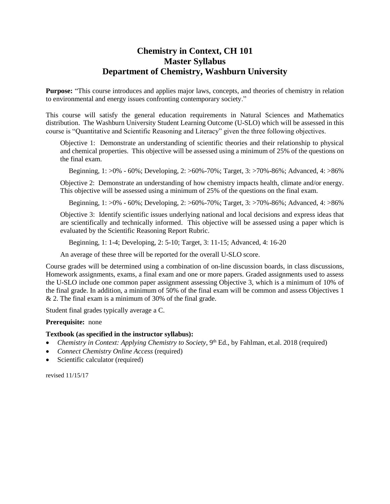## **Chemistry in Context, CH 101 Master Syllabus Department of Chemistry, Washburn University**

**Purpose:** "This course introduces and applies major laws, concepts, and theories of chemistry in relation to environmental and energy issues confronting contemporary society."

This course will satisfy the general education requirements in Natural Sciences and Mathematics distribution. The Washburn University Student Learning Outcome (U-SLO) which will be assessed in this course is "Quantitative and Scientific Reasoning and Literacy" given the three following objectives.

Objective 1: Demonstrate an understanding of scientific theories and their relationship to physical and chemical properties. This objective will be assessed using a minimum of 25% of the questions on the final exam.

Beginning, 1: >0% - 60%; Developing, 2: >60%-70%; Target, 3: >70%-86%; Advanced, 4: >86%

Objective 2: Demonstrate an understanding of how chemistry impacts health, climate and/or energy. This objective will be assessed using a minimum of 25% of the questions on the final exam.

Beginning, 1: >0% - 60%; Developing, 2: >60%-70%; Target, 3: >70%-86%; Advanced, 4: >86%

Objective 3: Identify scientific issues underlying national and local decisions and express ideas that are scientifically and technically informed. This objective will be assessed using a paper which is evaluated by the Scientific Reasoning Report Rubric.

Beginning, 1: 1-4; Developing, 2: 5-10; Target, 3: 11-15; Advanced, 4: 16-20

An average of these three will be reported for the overall U-SLO score.

Course grades will be determined using a combination of on-line discussion boards, in class discussions, Homework assignments, exams, a final exam and one or more papers. Graded assignments used to assess the U-SLO include one common paper assignment assessing Objective 3, which is a minimum of 10% of the final grade. In addition, a minimum of 50% of the final exam will be common and assess Objectives 1 & 2. The final exam is a minimum of 30% of the final grade.

Student final grades typically average a C.

**Prerequisite:** none

## **Textbook (as specified in the instructor syllabus):**

- Chemistry in Context: Applying Chemistry to Society, 9<sup>th</sup> Ed., by Fahlman, et.al. 2018 (required)
- *Connect Chemistry Online Access* (required)
- Scientific calculator (required)

revised 11/15/17